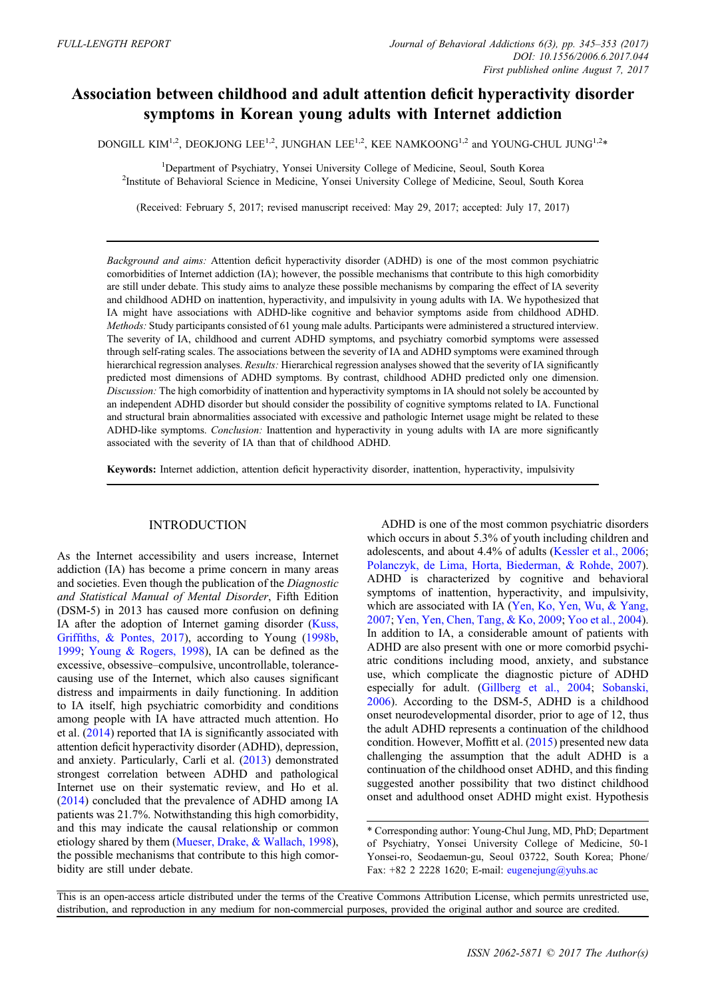# Association between childhood and adult attention deficit hyperactivity disorder symptoms in Korean young adults with Internet addiction

DONGILL KIM<sup>1,2</sup>, DEOKJONG LEE<sup>1,2</sup>, JUNGHAN LEE<sup>1,2</sup>, KEE NAMKOONG<sup>1,2</sup> and YOUNG-CHUL JUNG<sup>1,2</sup>\*

<sup>1</sup>Department of Psychiatry, Yonsei University College of Medicine, Seoul, South Korea<sup>2</sup>Institute of Pehovioral Science in Medicine, Nonsei University College of Medicine, Seoul, Sou <sup>2</sup>Institute of Behavioral Science in Medicine, Yonsei University College of Medicine, Seoul, South Korea

(Received: February 5, 2017; revised manuscript received: May 29, 2017; accepted: July 17, 2017)

Background and aims: Attention deficit hyperactivity disorder (ADHD) is one of the most common psychiatric comorbidities of Internet addiction (IA); however, the possible mechanisms that contribute to this high comorbidity are still under debate. This study aims to analyze these possible mechanisms by comparing the effect of IA severity and childhood ADHD on inattention, hyperactivity, and impulsivity in young adults with IA. We hypothesized that IA might have associations with ADHD-like cognitive and behavior symptoms aside from childhood ADHD. Methods: Study participants consisted of 61 young male adults. Participants were administered a structured interview. The severity of IA, childhood and current ADHD symptoms, and psychiatry comorbid symptoms were assessed through self-rating scales. The associations between the severity of IA and ADHD symptoms were examined through hierarchical regression analyses. Results: Hierarchical regression analyses showed that the severity of IA significantly predicted most dimensions of ADHD symptoms. By contrast, childhood ADHD predicted only one dimension. Discussion: The high comorbidity of inattention and hyperactivity symptoms in IA should not solely be accounted by an independent ADHD disorder but should consider the possibility of cognitive symptoms related to IA. Functional and structural brain abnormalities associated with excessive and pathologic Internet usage might be related to these ADHD-like symptoms. Conclusion: Inattention and hyperactivity in young adults with IA are more significantly associated with the severity of IA than that of childhood ADHD.

Keywords: Internet addiction, attention deficit hyperactivity disorder, inattention, hyperactivity, impulsivity

## INTRODUCTION

As the Internet accessibility and users increase, Internet addiction (IA) has become a prime concern in many areas and societies. Even though the publication of the Diagnostic and Statistical Manual of Mental Disorder, Fifth Edition (DSM-5) in 2013 has caused more confusion on defining IA after the adoption of Internet gaming disorder [\(Kuss,](#page-7-0) Griffi[ths, & Pontes, 2017\)](#page-7-0), according to Young [\(1998b](#page-8-0), [1999](#page-8-0); [Young & Rogers, 1998\)](#page-8-0), IA can be defined as the excessive, obsessive–compulsive, uncontrollable, tolerancecausing use of the Internet, which also causes significant distress and impairments in daily functioning. In addition to IA itself, high psychiatric comorbidity and conditions among people with IA have attracted much attention. Ho et al. [\(2014](#page-7-0)) reported that IA is significantly associated with attention deficit hyperactivity disorder (ADHD), depression, and anxiety. Particularly, Carli et al. [\(2013](#page-6-0)) demonstrated strongest correlation between ADHD and pathological Internet use on their systematic review, and Ho et al. [\(2014](#page-7-0)) concluded that the prevalence of ADHD among IA patients was 21.7%. Notwithstanding this high comorbidity, and this may indicate the causal relationship or common etiology shared by them ([Mueser, Drake, & Wallach, 1998\)](#page-7-0), the possible mechanisms that contribute to this high comorbidity are still under debate.

ADHD is one of the most common psychiatric disorders which occurs in about 5.3% of youth including children and adolescents, and about 4.4% of adults [\(Kessler et al., 2006](#page-7-0); [Polanczyk, de Lima, Horta, Biederman, & Rohde, 2007](#page-7-0)). ADHD is characterized by cognitive and behavioral symptoms of inattention, hyperactivity, and impulsivity, which are associated with IA ([Yen, Ko, Yen, Wu, & Yang,](#page-8-0) [2007;](#page-8-0) [Yen, Yen, Chen, Tang, & Ko, 2009;](#page-8-0) [Yoo et al., 2004](#page-8-0)). In addition to IA, a considerable amount of patients with ADHD are also present with one or more comorbid psychiatric conditions including mood, anxiety, and substance use, which complicate the diagnostic picture of ADHD especially for adult. [\(Gillberg et al., 2004;](#page-6-0) [Sobanski,](#page-7-0) [2006\)](#page-7-0). According to the DSM-5, ADHD is a childhood onset neurodevelopmental disorder, prior to age of 12, thus the adult ADHD represents a continuation of the childhood condition. However, Moffitt et al. ([2015\)](#page-7-0) presented new data challenging the assumption that the adult ADHD is a continuation of the childhood onset ADHD, and this finding suggested another possibility that two distinct childhood onset and adulthood onset ADHD might exist. Hypothesis

<sup>\*</sup> Corresponding author: Young-Chul Jung, MD, PhD; Department of Psychiatry, Yonsei University College of Medicine, 50-1 Yonsei-ro, Seodaemun-gu, Seoul 03722, South Korea; Phone/ Fax: +82 2 2228 1620; E-mail: [eugenejung@yuhs.ac](mailto:eugenejung@yuhs.ac)

This is an open-access article distributed under the terms of the Creative Commons Attribution License, which permits unrestricted use, distribution, and reproduction in any medium for non-commercial purposes, provided the original author and source are credited.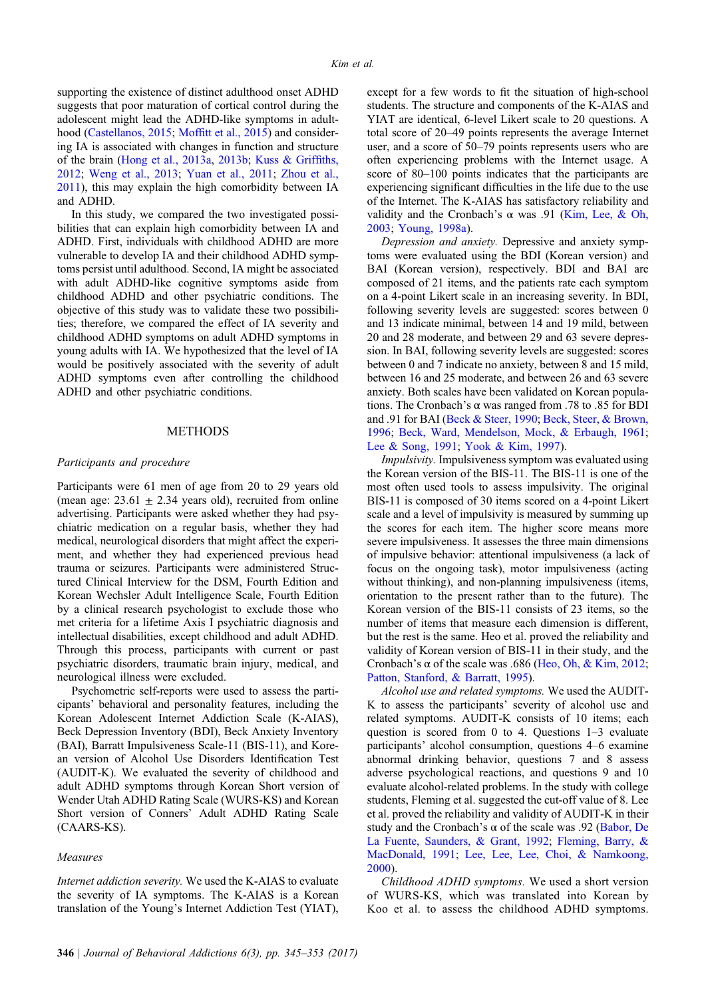supporting the existence of distinct adulthood onset ADHD suggests that poor maturation of cortical control during the adolescent might lead the ADHD-like symptoms in adult-hood [\(Castellanos, 2015](#page-6-0); Moffi[tt et al., 2015\)](#page-7-0) and considering IA is associated with changes in function and structure of the brain [\(Hong et al., 2013a](#page-7-0), [2013b](#page-7-0); [Kuss & Grif](#page-7-0)fiths, [2012](#page-7-0); [Weng et al., 2013](#page-8-0); [Yuan et al., 2011](#page-8-0); [Zhou et al.,](#page-8-0) [2011](#page-8-0)), this may explain the high comorbidity between IA and ADHD.

In this study, we compared the two investigated possibilities that can explain high comorbidity between IA and ADHD. First, individuals with childhood ADHD are more vulnerable to develop IA and their childhood ADHD symptoms persist until adulthood. Second, IA might be associated with adult ADHD-like cognitive symptoms aside from childhood ADHD and other psychiatric conditions. The objective of this study was to validate these two possibilities; therefore, we compared the effect of IA severity and childhood ADHD symptoms on adult ADHD symptoms in young adults with IA. We hypothesized that the level of IA would be positively associated with the severity of adult ADHD symptoms even after controlling the childhood ADHD and other psychiatric conditions.

#### METHODS

#### Participants and procedure

Participants were 61 men of age from 20 to 29 years old (mean age:  $23.61 \pm 2.34$  years old), recruited from online advertising. Participants were asked whether they had psychiatric medication on a regular basis, whether they had medical, neurological disorders that might affect the experiment, and whether they had experienced previous head trauma or seizures. Participants were administered Structured Clinical Interview for the DSM, Fourth Edition and Korean Wechsler Adult Intelligence Scale, Fourth Edition by a clinical research psychologist to exclude those who met criteria for a lifetime Axis I psychiatric diagnosis and intellectual disabilities, except childhood and adult ADHD. Through this process, participants with current or past psychiatric disorders, traumatic brain injury, medical, and neurological illness were excluded.

Psychometric self-reports were used to assess the participants' behavioral and personality features, including the Korean Adolescent Internet Addiction Scale (K-AIAS), Beck Depression Inventory (BDI), Beck Anxiety Inventory (BAI), Barratt Impulsiveness Scale-11 (BIS-11), and Korean version of Alcohol Use Disorders Identification Test (AUDIT-K). We evaluated the severity of childhood and adult ADHD symptoms through Korean Short version of Wender Utah ADHD Rating Scale (WURS-KS) and Korean Short version of Conners' Adult ADHD Rating Scale (CAARS-KS).

#### Measures

Internet addiction severity. We used the K-AIAS to evaluate the severity of IA symptoms. The K-AIAS is a Korean translation of the Young's Internet Addiction Test (YIAT),

except for a few words to fit the situation of high-school students. The structure and components of the K-AIAS and YIAT are identical, 6-level Likert scale to 20 questions. A total score of 20–49 points represents the average Internet user, and a score of 50–79 points represents users who are often experiencing problems with the Internet usage. A score of 80–100 points indicates that the participants are experiencing significant difficulties in the life due to the use of the Internet. The K-AIAS has satisfactory reliability and validity and the Cronbach's  $\alpha$  was .91 ([Kim, Lee, & Oh,](#page-7-0) [2003;](#page-7-0) [Young, 1998a\)](#page-8-0).

Depression and anxiety. Depressive and anxiety symptoms were evaluated using the BDI (Korean version) and BAI (Korean version), respectively. BDI and BAI are composed of 21 items, and the patients rate each symptom on a 4-point Likert scale in an increasing severity. In BDI, following severity levels are suggested: scores between 0 and 13 indicate minimal, between 14 and 19 mild, between 20 and 28 moderate, and between 29 and 63 severe depression. In BAI, following severity levels are suggested: scores between 0 and 7 indicate no anxiety, between 8 and 15 mild, between 16 and 25 moderate, and between 26 and 63 severe anxiety. Both scales have been validated on Korean populations. The Cronbach's  $\alpha$  was ranged from .78 to .85 for BDI and .91 for BAI [\(Beck & Steer, 1990](#page-6-0); [Beck, Steer, & Brown,](#page-6-0) [1996;](#page-6-0) [Beck, Ward, Mendelson, Mock, & Erbaugh, 1961](#page-6-0); [Lee & Song, 1991;](#page-7-0) [Yook & Kim, 1997](#page-8-0)).

Impulsivity. Impulsiveness symptom was evaluated using the Korean version of the BIS-11. The BIS-11 is one of the most often used tools to assess impulsivity. The original BIS-11 is composed of 30 items scored on a 4-point Likert scale and a level of impulsivity is measured by summing up the scores for each item. The higher score means more severe impulsiveness. It assesses the three main dimensions of impulsive behavior: attentional impulsiveness (a lack of focus on the ongoing task), motor impulsiveness (acting without thinking), and non-planning impulsiveness (items, orientation to the present rather than to the future). The Korean version of the BIS-11 consists of 23 items, so the number of items that measure each dimension is different, but the rest is the same. Heo et al. proved the reliability and validity of Korean version of BIS-11 in their study, and the Cronbach's  $\alpha$  of the scale was .686 [\(Heo, Oh, & Kim, 2012](#page-7-0); [Patton, Stanford, & Barratt, 1995\)](#page-7-0).

Alcohol use and related symptoms. We used the AUDIT-K to assess the participants' severity of alcohol use and related symptoms. AUDIT-K consists of 10 items; each question is scored from 0 to 4. Questions 1–3 evaluate participants' alcohol consumption, questions 4–6 examine abnormal drinking behavior, questions 7 and 8 assess adverse psychological reactions, and questions 9 and 10 evaluate alcohol-related problems. In the study with college students, Fleming et al. suggested the cut-off value of 8. Lee et al. proved the reliability and validity of AUDIT-K in their study and the Cronbach's  $\alpha$  of the scale was .92 [\(Babor, De](#page-6-0) [La Fuente, Saunders, & Grant, 1992](#page-6-0); [Fleming, Barry, &](#page-6-0) [MacDonald, 1991](#page-6-0); [Lee, Lee, Lee, Choi, & Namkoong,](#page-7-0) [2000\)](#page-7-0).

Childhood ADHD symptoms. We used a short version of WURS-KS, which was translated into Korean by Koo et al. to assess the childhood ADHD symptoms.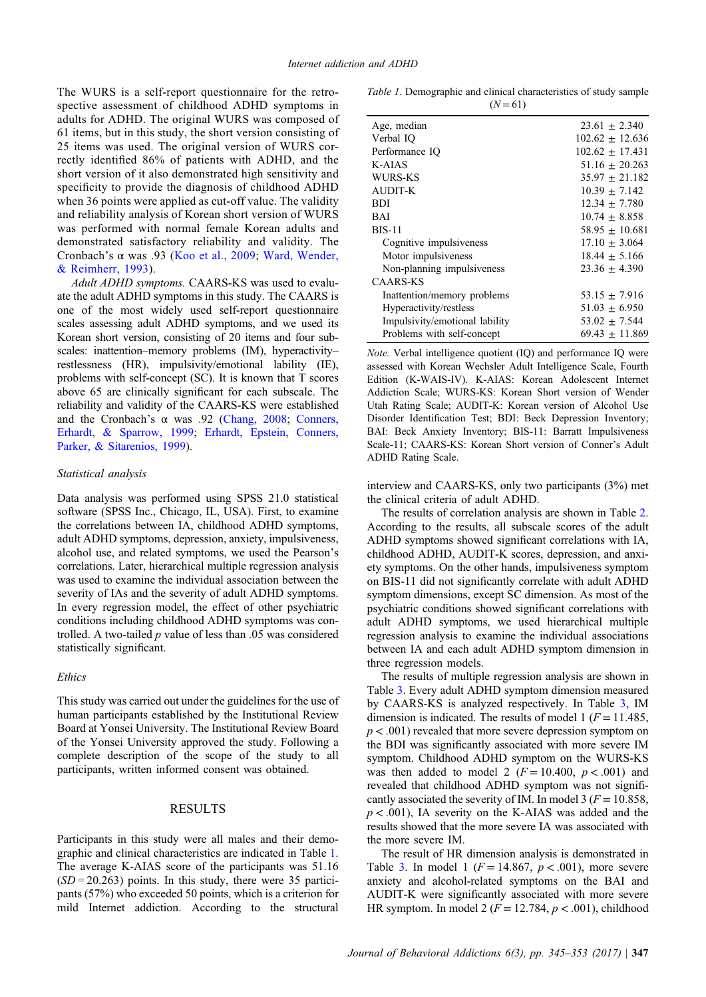The WURS is a self-report questionnaire for the retrospective assessment of childhood ADHD symptoms in adults for ADHD. The original WURS was composed of 61 items, but in this study, the short version consisting of 25 items was used. The original version of WURS correctly identified 86% of patients with ADHD, and the short version of it also demonstrated high sensitivity and specificity to provide the diagnosis of childhood ADHD when 36 points were applied as cut-off value. The validity and reliability analysis of Korean short version of WURS was performed with normal female Korean adults and demonstrated satisfactory reliability and validity. The Cronbach's  $\alpha$  was .93 ([Koo et al., 2009;](#page-7-0) [Ward, Wender,](#page-7-0) [& Reimherr, 1993\)](#page-7-0).

Adult ADHD symptoms. CAARS-KS was used to evaluate the adult ADHD symptoms in this study. The CAARS is one of the most widely used self-report questionnaire scales assessing adult ADHD symptoms, and we used its Korean short version, consisting of 20 items and four subscales: inattention–memory problems (IM), hyperactivity– restlessness (HR), impulsivity/emotional lability (IE), problems with self-concept (SC). It is known that T scores above 65 are clinically significant for each subscale. The reliability and validity of the CAARS-KS were established and the Cronbach's  $\alpha$  was .92 [\(Chang, 2008](#page-6-0); [Conners,](#page-6-0) [Erhardt, & Sparrow, 1999;](#page-6-0) [Erhardt, Epstein, Conners,](#page-6-0) [Parker, & Sitarenios, 1999\)](#page-6-0).

## Statistical analysis

Data analysis was performed using SPSS 21.0 statistical software (SPSS Inc., Chicago, IL, USA). First, to examine the correlations between IA, childhood ADHD symptoms, adult ADHD symptoms, depression, anxiety, impulsiveness, alcohol use, and related symptoms, we used the Pearson's correlations. Later, hierarchical multiple regression analysis was used to examine the individual association between the severity of IAs and the severity of adult ADHD symptoms. In every regression model, the effect of other psychiatric conditions including childhood ADHD symptoms was controlled. A two-tailed  $p$  value of less than .05 was considered statistically significant.

#### Ethics

This study was carried out under the guidelines for the use of human participants established by the Institutional Review Board at Yonsei University. The Institutional Review Board of the Yonsei University approved the study. Following a complete description of the scope of the study to all participants, written informed consent was obtained.

## RESULTS

Participants in this study were all males and their demographic and clinical characteristics are indicated in Table 1. The average K-AIAS score of the participants was 51.16  $(SD = 20.263)$  points. In this study, there were 35 participants (57%) who exceeded 50 points, which is a criterion for mild Internet addiction. According to the structural

Table 1. Demographic and clinical characteristics of study sample  $(N = 61)$ 

| Age, median                    | $23.61 + 2.340$    |
|--------------------------------|--------------------|
| Verbal IO                      | $102.62 + 12.636$  |
| Performance IO                 | $102.62 + 17.431$  |
| K-AJAS                         | $51.16 + 20.263$   |
| WURS-KS                        | $35.97 + 21.182$   |
| AUDIT-K                        | $10.39 \pm 7.142$  |
| <b>BDI</b>                     | $12.34 + 7.780$    |
| <b>BAI</b>                     | $10.74 + 8.858$    |
| <b>BIS-11</b>                  | $58.95 + 10.681$   |
| Cognitive impulsiveness        | $17.10 \pm 3.064$  |
| Motor impulsiveness            | $18.44 \pm 5.166$  |
| Non-planning impulsiveness     | $23.36 + 4.390$    |
| CAARS-KS                       |                    |
| Inattention/memory problems    | $53.15 \pm 7.916$  |
| Hyperactivity/restless         | $51.03 + 6.950$    |
| Impulsivity/emotional lability | $53.02 \pm 7.544$  |
| Problems with self-concept     | $69.43 \pm 11.869$ |

Note. Verbal intelligence quotient (IQ) and performance IQ were assessed with Korean Wechsler Adult Intelligence Scale, Fourth Edition (K-WAIS-IV). K-AIAS: Korean Adolescent Internet Addiction Scale; WURS-KS: Korean Short version of Wender Utah Rating Scale; AUDIT-K: Korean version of Alcohol Use Disorder Identification Test; BDI: Beck Depression Inventory; BAI: Beck Anxiety Inventory; BIS-11: Barratt Impulsiveness Scale-11; CAARS-KS: Korean Short version of Conner's Adult ADHD Rating Scale.

interview and CAARS-KS, only two participants (3%) met the clinical criteria of adult ADHD.

The results of correlation analysis are shown in Table [2.](#page-3-0) According to the results, all subscale scores of the adult ADHD symptoms showed significant correlations with IA, childhood ADHD, AUDIT-K scores, depression, and anxiety symptoms. On the other hands, impulsiveness symptom on BIS-11 did not significantly correlate with adult ADHD symptom dimensions, except SC dimension. As most of the psychiatric conditions showed significant correlations with adult ADHD symptoms, we used hierarchical multiple regression analysis to examine the individual associations between IA and each adult ADHD symptom dimension in three regression models.

The results of multiple regression analysis are shown in Table [3.](#page-4-0) Every adult ADHD symptom dimension measured by CAARS-KS is analyzed respectively. In Table [3](#page-4-0), IM dimension is indicated. The results of model 1 ( $F = 11.485$ ,  $p < .001$ ) revealed that more severe depression symptom on the BDI was significantly associated with more severe IM symptom. Childhood ADHD symptom on the WURS-KS was then added to model 2 ( $F = 10.400$ ,  $p < .001$ ) and revealed that childhood ADHD symptom was not significantly associated the severity of IM. In model 3 ( $F = 10.858$ ,  $p < .001$ ), IA severity on the K-AIAS was added and the results showed that the more severe IA was associated with the more severe IM.

The result of HR dimension analysis is demonstrated in Table [3.](#page-4-0) In model 1 ( $F = 14.867$ ,  $p < .001$ ), more severe anxiety and alcohol-related symptoms on the BAI and AUDIT-K were significantly associated with more severe HR symptom. In model 2 ( $F = 12.784$ ,  $p < .001$ ), childhood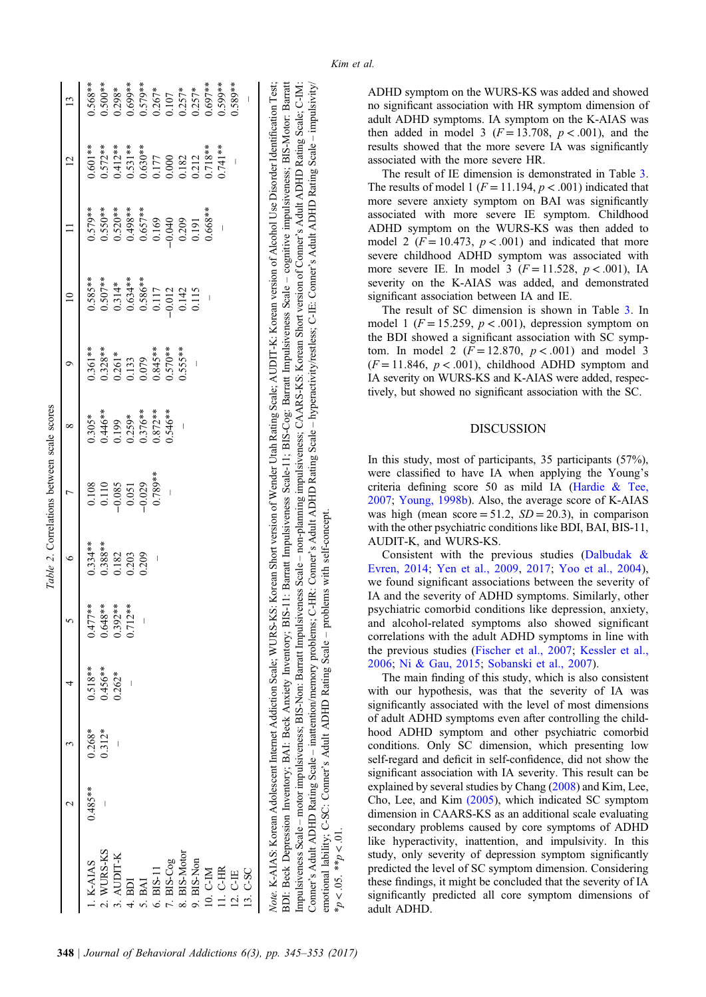<span id="page-3-0"></span>

|                                                                              |           |          |           |            |                    | Table 2. Correlations between scale scores                                |                                                     |                                                      |                                                                                              |                                                                                                                      |                                                                                              |                                                                            |
|------------------------------------------------------------------------------|-----------|----------|-----------|------------|--------------------|---------------------------------------------------------------------------|-----------------------------------------------------|------------------------------------------------------|----------------------------------------------------------------------------------------------|----------------------------------------------------------------------------------------------------------------------|----------------------------------------------------------------------------------------------|----------------------------------------------------------------------------|
|                                                                              |           |          |           |            | $\circ$            |                                                                           | $\infty$                                            | $\circ$                                              | $\Xi$                                                                                        |                                                                                                                      | $\overline{5}$                                                                               | $\frac{3}{2}$                                                              |
| . K-AIAS                                                                     | $0.485**$ | $0.268*$ | $0.518**$ | $0.477**$  | $0.334**$          |                                                                           | $0.305*$                                            | $0.361**$                                            | $0.585**$                                                                                    | $0.579**$                                                                                                            | $0.601**$                                                                                    | $0.568**$                                                                  |
| WURS-KS                                                                      |           | $0.312*$ | $0.456**$ | $0.648**$  | $0.388**$<br>0.182 | $\begin{array}{c} 0.108 \\ 0.110 \\ -0.085 \\ 0.051 \\ 0.029 \end{array}$ | 0.446**<br>0.199<br>0.259**<br>0.376***<br>0.872*46 |                                                      |                                                                                              |                                                                                                                      |                                                                                              |                                                                            |
| AUDIT-K                                                                      |           |          | $0.262*$  | $0.392***$ |                    |                                                                           |                                                     |                                                      |                                                                                              |                                                                                                                      |                                                                                              |                                                                            |
| l. BDI                                                                       |           |          | $\mid$    | $0.712**$  | 0.203              |                                                                           |                                                     |                                                      |                                                                                              |                                                                                                                      |                                                                                              |                                                                            |
| $\begin{array}{c} 5. \text{ BAI} \\ 6. \text{ BIS-11} \end{array}$           |           |          |           |            |                    |                                                                           |                                                     |                                                      |                                                                                              |                                                                                                                      |                                                                                              |                                                                            |
|                                                                              |           |          |           |            |                    | $0.789**$                                                                 |                                                     |                                                      |                                                                                              |                                                                                                                      |                                                                                              |                                                                            |
| 7. BIS-Cog                                                                   |           |          |           |            |                    |                                                                           |                                                     | $0.328**$<br>0.261*<br>0.133<br>0.0.845**<br>0.570** | $0.507**$<br>$0.314**$<br>$0.634**$<br>$0.636**$<br>$0.117$<br>$0.117$<br>$0.142$<br>$0.142$ | $0.550**$<br>$0.520**$<br>$0.498**$<br>$0.657**$<br>$0.169$<br>$0.169$<br>$0.209$<br>$0.191$<br>$0.191$<br>$0.668**$ | $0.572**$<br>$0.412**$<br>$0.531**$<br>$0.630**$<br>$0.177$<br>$0.100$<br>$0.182$<br>$0.212$ | $0.500$ **<br>0.298*<br>0.699***<br>0.579**<br>0.257*<br>0.257*<br>0.697** |
| 8. BIS-Motor<br>9. BIS-Non                                                   |           |          |           |            |                    |                                                                           |                                                     |                                                      |                                                                                              |                                                                                                                      |                                                                                              |                                                                            |
|                                                                              |           |          |           |            |                    |                                                                           |                                                     |                                                      |                                                                                              |                                                                                                                      |                                                                                              |                                                                            |
| $\begin{array}{c} \n 10. \text{ C-IM} \\ \n 11. \text{ C-HR} \n \end{array}$ |           |          |           |            |                    |                                                                           |                                                     |                                                      |                                                                                              |                                                                                                                      |                                                                                              |                                                                            |
|                                                                              |           |          |           |            |                    |                                                                           |                                                     |                                                      |                                                                                              |                                                                                                                      | $0.741**$                                                                                    | 1.599**                                                                    |
| 12. C-IE                                                                     |           |          |           |            |                    |                                                                           |                                                     |                                                      |                                                                                              |                                                                                                                      |                                                                                              | $0.589**$                                                                  |
| 13. C-SC                                                                     |           |          |           |            |                    |                                                                           |                                                     |                                                      |                                                                                              |                                                                                                                      |                                                                                              |                                                                            |
|                                                                              |           |          |           |            |                    |                                                                           |                                                     |                                                      |                                                                                              |                                                                                                                      |                                                                                              |                                                                            |

BDI: Beck Depression Inventory; BAI: Beck Anxiety Inventory; BIS-11: Barratt Impulsiveness Scale-11; BIS-Cog: Barratt Impulsiveness Scale - cognitive impulsiveness; BIS-Motor: Barratt Impulsiveness Scale - motor impulsiveness; BIS-Non: Barratt Impulsiveness Scale - non-plaming impulsiveness; CAARS-KS: Korean Short version of Conner's Adult ADHD Rating Scale; C-IM: Vote. K-AIAS: Korean Adolescent Internet Addiction Scale; WURS-KS: Korean Short version of Wender Utah Rating Scale; AUDIT-K: Korean version of Alcohol Use Disorder Identification Test; fication Test; – cognitive impulsiveness; BIS-Motor: Barratt – non-planning impulsiveness; CAARS-KS: Korean Short version of Conner's Adult ADHD Rating Scale; C-IM: – impulsivity/ Conner's Adult ADHD Rating Scale - inattention/memory problems; C-HR: Conner's Adult ADHD Rating Scale - hyperactivity/restless; C-IE: Conner's Adult ADHD Rating Scale - impulsivity, Note. K-AIAS: Korean Adolescent Internet Addiction Scale; WURS-KS: Korean Short version of Wender Utah Rating Scale; AUDIT-K: Korean version of Alcohol Use Disorder Identi – hyperactivity/restless; C-IE: Conner's Adult ADHD Rating Scale BDI: Beck Depression Inventory; BAI: Beck Anxiety Inventory; BIS-11: Barratt Impulsiveness Scale-11; BIS-Cog: Barratt Impulsiveness Scale – inattention/memory problems; C-HR: Conner's Adult ADHD Rating Scale – problems with self-concept. emotional lability; C-SC: Conner's Adult ADHD Rating Scale - problems with self-concept – motor impulsiveness; BIS-Non: Barratt Impulsiveness Scale emotional lability; C-SC: Conner's Adult ADHD Rating Scale Conner's Adult ADHD Rating Scale Impulsiveness Scale  $\leq$ .01. \* $p < 0.05$ . \*\*p

ADHD symptom on the WURS-KS was added and showed no significant association with HR symptom dimension of adult ADHD symptoms. IA symptom on the K-AIAS was then added in model 3 ( $F = 13.708$ ,  $p < .001$ ), and the results showed that the more severe IA was significantly associated with the more severe HR.

The result of IE dimension is demonstrated in Table [3.](#page-4-0) The results of model 1 ( $F = 11.194$ ,  $p < .001$ ) indicated that more severe anxiety symptom on BAI was significantly associated with more severe IE symptom. Childhood ADHD symptom on the WURS-KS was then added to model 2 ( $F = 10.473$ ,  $p < .001$ ) and indicated that more severe childhood ADHD symptom was associated with more severe IE. In model 3  $(F = 11.528, p < .001)$ . IA severity on the K-AIAS was added, and demonstrated significant association between IA and IE.

The result of SC dimension is shown in Table [3.](#page-4-0) In model 1 ( $F = 15.259$ ,  $p < .001$ ), depression symptom on the BDI showed a significant association with SC symptom. In model 2 ( $F = 12.870$ ,  $p < .001$ ) and model 3  $(F = 11.846, p < .001)$ , childhood ADHD symptom and IA severity on WURS-KS and K-AIAS were added, respectively, but showed no significant association with the SC.

## DISCUSSION

In this study, most of participants, 35 participants (57%), were classified to have IA when applying the Young's criteria defining score 50 as mild IA [\(Hardie & Tee,](#page-7-0) [2007](#page-7-0); [Young, 1998b](#page-8-0)). Also, the average score of K-AIAS was high (mean score = 51.2,  $SD = 20.3$ ), in comparison with the other psychiatric conditions like BDI, BAI, BIS-11, AUDIT-K, and WURS-KS.

Consistent with the previous studies ([Dalbudak &](#page-6-0) [Evren, 2014](#page-6-0); [Yen et al., 2009,](#page-8-0) [2017;](#page-8-0) [Yoo et al., 2004](#page-8-0)), we found significant associations between the severity of IA and the severity of ADHD symptoms. Similarly, other psychiatric comorbid conditions like depression, anxiety, and alcohol-related symptoms also showed significant correlations with the adult ADHD symptoms in line with the previous studies ([Fischer et al., 2007;](#page-6-0) [Kessler et al.,](#page-7-0) [2006;](#page-7-0) [Ni & Gau, 2015](#page-7-0); [Sobanski et al., 2007\)](#page-7-0).

The main finding of this study, which is also consistent with our hypothesis, was that the severity of IA was significantly associated with the level of most dimensions of adult ADHD symptoms even after controlling the childhood ADHD symptom and other psychiatric comorbid conditions. Only SC dimension, which presenting low self-regard and deficit in self-confidence, did not show the significant association with IA severity. This result can be explained by several studies by Chang ([2008\)](#page-6-0) and Kim, Lee, Cho, Lee, and Kim [\(2005\)](#page-7-0), which indicated SC symptom dimension in CAARS-KS as an additional scale evaluating secondary problems caused by core symptoms of ADHD like hyperactivity, inattention, and impulsivity. In this study, only severity of depression symptom significantly predicted the level of SC symptom dimension. Considering these findings, it might be concluded that the severity of IA significantly predicted all core symptom dimensions of adult ADHD.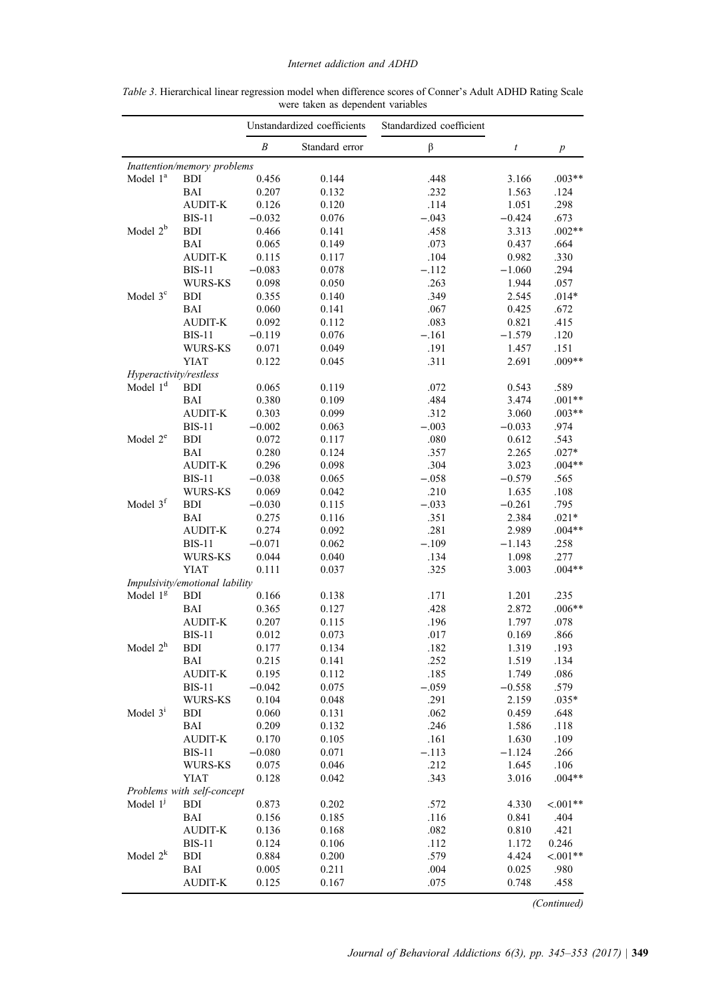## Internet addiction and ADHD

|                        |                                              |                  | Unstandardized coefficients | Standardized coefficient |                  |                  |
|------------------------|----------------------------------------------|------------------|-----------------------------|--------------------------|------------------|------------------|
|                        |                                              | $\boldsymbol{B}$ | Standard error              | $\beta$                  | $\boldsymbol{t}$ | $\boldsymbol{p}$ |
|                        | Inattention/memory problems                  |                  |                             |                          |                  |                  |
| Model 1 <sup>a</sup>   | <b>BDI</b>                                   | 0.456            | 0.144                       | .448                     | 3.166            | $.003**$         |
|                        | <b>BAI</b>                                   | 0.207            | 0.132                       | .232                     | 1.563            | .124             |
|                        | <b>AUDIT-K</b>                               | 0.126            | 0.120                       | .114                     | 1.051            | .298             |
|                        | <b>BIS-11</b>                                | $-0.032$         | 0.076                       | $-.043$                  | $-0.424$         | .673             |
| Model $2^b$            | $\operatorname{BDI}$                         | 0.466            | 0.141                       | .458                     | 3.313            | $.002**$         |
|                        | BAI                                          | 0.065            | 0.149                       | .073                     | 0.437            | .664             |
|                        | <b>AUDIT-K</b>                               | 0.115            | 0.117                       | .104                     | 0.982            | .330             |
|                        | <b>BIS-11</b>                                | $-0.083$         | 0.078                       | $-.112$                  | $-1.060$         | .294             |
|                        | WURS-KS                                      | 0.098            | 0.050                       | .263                     | 1.944            | .057             |
| Model $3c$             | <b>BDI</b>                                   | 0.355            | 0.140                       | .349                     | 2.545            | $.014*$          |
|                        | BAI                                          | 0.060            | 0.141                       | .067                     | 0.425            | .672             |
|                        | <b>AUDIT-K</b>                               | 0.092            | 0.112                       | .083                     | 0.821            | .415             |
|                        | <b>BIS-11</b>                                | $-0.119$         | 0.076                       | $-.161$                  | $-1.579$         | .120             |
|                        | WURS-KS                                      | 0.071            | 0.049                       | .191                     | 1.457            | .151             |
|                        | <b>YIAT</b>                                  | 0.122            | 0.045                       | .311                     | 2.691            | $.009**$         |
| Hyperactivity/restless |                                              |                  |                             |                          |                  |                  |
| Model $1d$             | <b>BDI</b>                                   | 0.065            | 0.119                       | .072                     | 0.543            | .589             |
|                        | BAI                                          | 0.380            | 0.109                       | .484                     | 3.474            | $.001**$         |
|                        | <b>AUDIT-K</b>                               | 0.303            | 0.099                       | .312                     | 3.060            | $.003**$         |
|                        | <b>BIS-11</b>                                | $-0.002$         | 0.063                       | $-.003$                  | $-0.033$         | .974             |
| Model 2 <sup>e</sup>   | <b>BDI</b>                                   | 0.072            | 0.117                       | $.080\,$                 | 0.612            | .543             |
|                        | <b>BAI</b>                                   | 0.280            | 0.124                       | .357                     | 2.265            | $.027*$          |
|                        | <b>AUDIT-K</b>                               | 0.296            | 0.098                       | .304                     | 3.023            | $.004**$         |
|                        | <b>BIS-11</b>                                | $-0.038$         | 0.065                       | $-.058$                  | $-0.579$         | .565             |
|                        | WURS-KS                                      | 0.069            | 0.042                       | .210                     | 1.635            | .108             |
| Model 3 <sup>f</sup>   | <b>BDI</b>                                   | $-0.030$         | 0.115                       | $-.033$                  | $-0.261$         | .795             |
|                        | <b>BAI</b>                                   | 0.275            | 0.116                       | .351                     | 2.384            | $.021*$          |
|                        | <b>AUDIT-K</b>                               | 0.274            | 0.092                       | .281                     | 2.989            | $.004**$         |
|                        | <b>BIS-11</b>                                | $-0.071$         | 0.062                       | $-.109$                  | $-1.143$         | .258             |
|                        | WURS-KS                                      | 0.044            | 0.040                       | .134                     | 1.098            | .277             |
|                        | <b>YIAT</b>                                  | 0.111            | 0.037                       | .325                     | 3.003            | $.004**$         |
| Model 1 <sup>g</sup>   | Impulsivity/emotional lability<br><b>BDI</b> | 0.166            |                             |                          | 1.201            |                  |
|                        |                                              |                  | 0.138                       | .171                     |                  | .235             |
|                        | <b>BAI</b>                                   | 0.365            | 0.127                       | .428                     | 2.872            | $.006**$         |
|                        | <b>AUDIT-K</b><br><b>BIS-11</b>              | 0.207<br>0.012   | 0.115<br>0.073              | .196<br>.017             | 1.797<br>0.169   | .078<br>.866     |
| Model $2^h$            | <b>BDI</b>                                   | 0.177            | 0.134                       | .182                     | 1.319            | .193             |
|                        |                                              | 0.215            | 0.141                       | .252                     | 1.519            |                  |
|                        | BAI                                          | 0.195            | 0.112                       | .185                     | 1.749            | .134<br>.086     |
|                        | <b>AUDIT-K</b><br><b>BIS-11</b>              | $-0.042$         | 0.075                       | $-.059$                  | $-0.558$         | .579             |
|                        | <b>WURS-KS</b>                               | 0.104            | 0.048                       | .291                     | 2.159            | $.035*$          |
| Model $3^i$            | <b>BDI</b>                                   | 0.060            | 0.131                       | .062                     | 0.459            | .648             |
|                        | BAI                                          | 0.209            | 0.132                       | .246                     | 1.586            | .118             |
|                        | <b>AUDIT-K</b>                               | 0.170            | 0.105                       | .161                     | 1.630            | .109             |
|                        | <b>BIS-11</b>                                | $-0.080$         | 0.071                       | $-.113$                  | $-1.124$         | .266             |
|                        | WURS-KS                                      | 0.075            | 0.046                       | .212                     | 1.645            | .106             |
|                        | <b>YIAT</b>                                  | 0.128            | 0.042                       | .343                     | 3.016            | $.004**$         |
|                        | Problems with self-concept                   |                  |                             |                          |                  |                  |
| Model $1^j$            | BDI                                          | 0.873            | 0.202                       | .572                     | 4.330            | $< 0.01**$       |
|                        | BAI                                          | 0.156            | 0.185                       | .116                     | 0.841            | .404             |
|                        | <b>AUDIT-K</b>                               | 0.136            | 0.168                       | .082                     | 0.810            | .421             |
|                        | <b>BIS-11</b>                                | 0.124            | 0.106                       | .112                     | 1.172            | 0.246            |
| Model $2^k$            | BDI                                          | 0.884            | 0.200                       | .579                     | 4.424            | $< .001**$       |
|                        | BAI                                          | 0.005            | 0.211                       | .004                     | 0.025            | .980             |
|                        | <b>AUDIT-K</b>                               | 0.125            | 0.167                       | .075                     | 0.748            | .458             |
|                        |                                              |                  |                             |                          |                  |                  |

<span id="page-4-0"></span>Table 3. Hierarchical linear regression model when difference scores of Conner's Adult ADHD Rating Scale were taken as dependent variables

(Continued)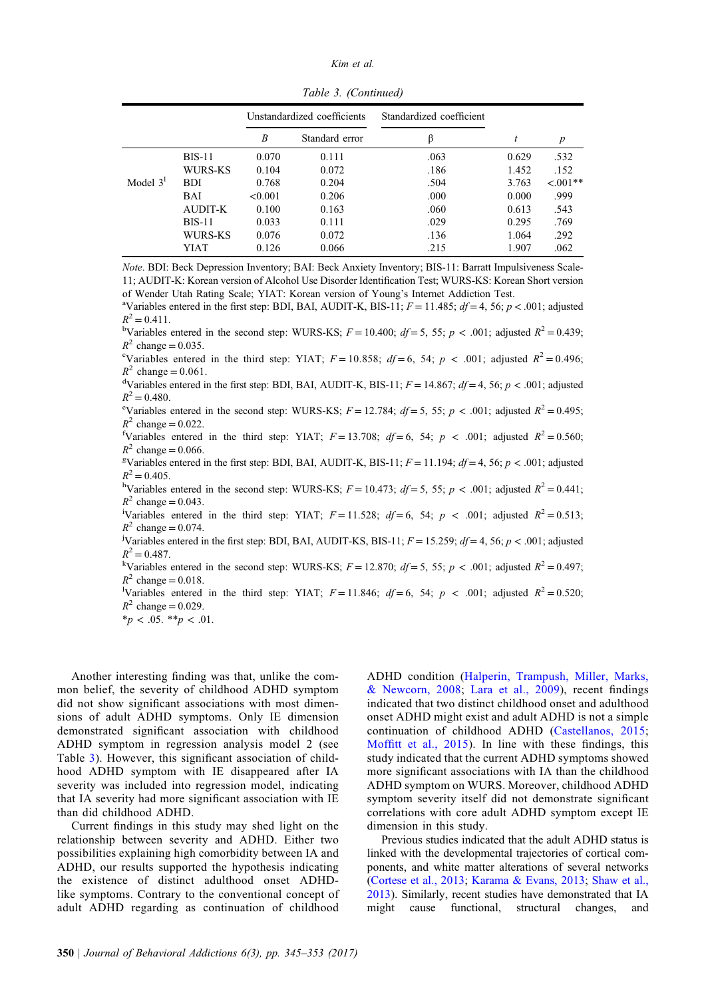|            |                |         | Unstandardized coefficients | Standardized coefficient |       |                  |
|------------|----------------|---------|-----------------------------|--------------------------|-------|------------------|
|            |                | B       | Standard error              | β                        |       | $\boldsymbol{p}$ |
|            | <b>BIS-11</b>  | 0.070   | 0.111                       | .063                     | 0.629 | .532             |
|            | <b>WURS-KS</b> | 0.104   | 0.072                       | .186                     | 1.452 | .152             |
| Model $31$ | <b>BDI</b>     | 0.768   | 0.204                       | .504                     | 3.763 | $< 0.01**$       |
|            | <b>BAI</b>     | < 0.001 | 0.206                       | .000                     | 0.000 | .999             |
|            | <b>AUDIT-K</b> | 0.100   | 0.163                       | .060                     | 0.613 | .543             |
|            | <b>BIS-11</b>  | 0.033   | 0.111                       | .029                     | 0.295 | .769             |
|            | <b>WURS-KS</b> | 0.076   | 0.072                       | .136                     | 1.064 | .292             |
|            | YIAT           | 0.126   | 0.066                       | .215                     | 1.907 | .062             |

Table 3. (Continued)

Note. BDI: Beck Depression Inventory; BAI: Beck Anxiety Inventory; BIS-11: Barratt Impulsiveness Scale-11; AUDIT-K: Korean version of Alcohol Use Disorder Identification Test; WURS-KS: Korean Short version of Wender Utah Rating Scale; YIAT: Korean version of Young's Internet Addiction Test. <sup>a</sup>

<sup>a</sup>Variables entered in the first step: BDI, BAI, AUDIT-K, BIS-11;  $F = 11.485$ ;  $df = 4$ , 56;  $p < .001$ ; adjusted  $R^2 = 0.411$ .

<sup>b</sup>Variables entered in the second step: WURS-KS;  $F = 10.400$ ;  $df = 5$ , 55;  $p < .001$ ; adjusted  $R^2 = 0.439$ ;  $R^2$  change = 0.035.

<sup>c</sup>Variables entered in the third step: YIAT;  $F = 10.858$ ;  $df = 6$ , 54;  $p < .001$ ; adjusted  $R^2 = 0.496$ ;  $R^2$  change = 0.061.

<sup>d</sup>Variables entered in the first step: BDI, BAI, AUDIT-K, BIS-11;  $F = 14.867$ ;  $df = 4$ , 56;  $p < .001$ ; adjusted  $R^2 = 0.480$ .

<sup>e</sup>Variables entered in the second step: WURS-KS;  $F = 12.784$ ;  $df = 5$ , 55; p < .001; adjusted  $R^2 = 0.495$ ;  $R^2$  change = 0.022. <sup>f</sup>Variables entered in the third step: YIAT;  $F = 13.708$ ;  $df = 6$ , 54;  $p < .001$ ; adjusted  $R^2 = 0.560$ ;

 $R^2$  change = 0.066. <sup>g</sup>Variables entered in the first step: BDI, BAI, AUDIT-K, BIS-11;  $F = 11.194$ ;  $df = 4$ , 56;  $p < .001$ ; adjusted

 $R^2 = 0.405$ . <sup>h</sup>Variables entered in the second step: WURS-KS;  $F = 10.473$ ;  $df = 5$ , 55;  $p < .001$ ; adjusted  $R^2 = 0.441$ ;  $R^2$  change = 0.043.

<sup>i</sup>Variables entered in the third step: YIAT;  $F = 11.528$ ;  $df = 6$ , 54;  $p < .001$ ; adjusted  $R^2 = 0.513$ ;

 $R^2$  change = 0.074.

<sup>j</sup>Variables entered in the first step: BDI, BAI, AUDIT-KS, BIS-11;  $F = 15.259$ ;  $df = 4$ , 56;  $p < .001$ ; adjusted  $R^2 = 0.487$ .

<sup>k</sup>Variables entered in the second step: WURS-KS;  $F = 12.870$ ;  $df = 5$ , 55;  $p < .001$ ; adjusted  $R^2 = 0.497$ ;  $R^2$  change = 0.018.

<sup>1</sup>Variables entered in the third step: YIAT;  $F = 11.846$ ;  $df = 6$ , 54;  $p < .001$ ; adjusted  $R^2 = 0.520$ ;  $R^2$  change = 0.029.  $*_{p}$  < .05.  $*_{p}$  < .01.

Another interesting finding was that, unlike the common belief, the severity of childhood ADHD symptom did not show significant associations with most dimensions of adult ADHD symptoms. Only IE dimension demonstrated significant association with childhood ADHD symptom in regression analysis model 2 (see Table [3](#page-4-0)). However, this significant association of childhood ADHD symptom with IE disappeared after IA severity was included into regression model, indicating that IA severity had more significant association with IE than did childhood ADHD.

Current findings in this study may shed light on the relationship between severity and ADHD. Either two possibilities explaining high comorbidity between IA and ADHD, our results supported the hypothesis indicating the existence of distinct adulthood onset ADHDlike symptoms. Contrary to the conventional concept of adult ADHD regarding as continuation of childhood

ADHD condition ([Halperin, Trampush, Miller, Marks,](#page-7-0) [& Newcorn, 2008;](#page-7-0) [Lara et al., 2009](#page-7-0)), recent findings indicated that two distinct childhood onset and adulthood onset ADHD might exist and adult ADHD is not a simple continuation of childhood ADHD [\(Castellanos, 2015](#page-6-0); Moffi[tt et al., 2015](#page-7-0)). In line with these findings, this study indicated that the current ADHD symptoms showed more significant associations with IA than the childhood ADHD symptom on WURS. Moreover, childhood ADHD symptom severity itself did not demonstrate significant correlations with core adult ADHD symptom except IE dimension in this study.

Previous studies indicated that the adult ADHD status is linked with the developmental trajectories of cortical components, and white matter alterations of several networks ([Cortese et al., 2013;](#page-6-0) [Karama & Evans, 2013](#page-7-0); [Shaw et al.,](#page-7-0) [2013\)](#page-7-0). Similarly, recent studies have demonstrated that IA might cause functional, structural changes, and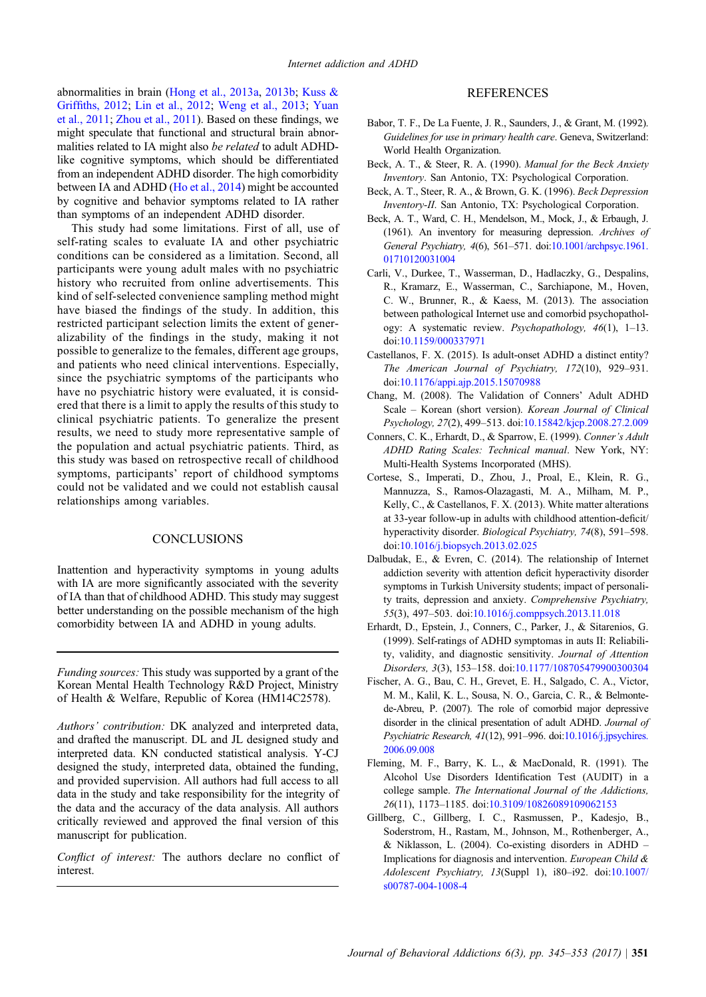<span id="page-6-0"></span>abnormalities in brain ([Hong et al., 2013a](#page-7-0), [2013b;](#page-7-0) [Kuss &](#page-7-0) Griffi[ths, 2012;](#page-7-0) [Lin et al., 2012;](#page-7-0) [Weng et al., 2013;](#page-8-0) [Yuan](#page-8-0) [et al., 2011;](#page-8-0) [Zhou et al., 2011](#page-8-0)). Based on these findings, we might speculate that functional and structural brain abnormalities related to IA might also be related to adult ADHDlike cognitive symptoms, which should be differentiated from an independent ADHD disorder. The high comorbidity between IA and ADHD [\(Ho et al., 2014\)](#page-7-0) might be accounted by cognitive and behavior symptoms related to IA rather than symptoms of an independent ADHD disorder.

This study had some limitations. First of all, use of self-rating scales to evaluate IA and other psychiatric conditions can be considered as a limitation. Second, all participants were young adult males with no psychiatric history who recruited from online advertisements. This kind of self-selected convenience sampling method might have biased the findings of the study. In addition, this restricted participant selection limits the extent of generalizability of the findings in the study, making it not possible to generalize to the females, different age groups, and patients who need clinical interventions. Especially, since the psychiatric symptoms of the participants who have no psychiatric history were evaluated, it is considered that there is a limit to apply the results of this study to clinical psychiatric patients. To generalize the present results, we need to study more representative sample of the population and actual psychiatric patients. Third, as this study was based on retrospective recall of childhood symptoms, participants' report of childhood symptoms could not be validated and we could not establish causal relationships among variables.

# **CONCLUSIONS**

Inattention and hyperactivity symptoms in young adults with IA are more significantly associated with the severity of IA than that of childhood ADHD. This study may suggest better understanding on the possible mechanism of the high comorbidity between IA and ADHD in young adults.

Funding sources: This study was supported by a grant of the Korean Mental Health Technology R&D Project, Ministry of Health & Welfare, Republic of Korea (HM14C2578).

Authors' contribution: DK analyzed and interpreted data, and drafted the manuscript. DL and JL designed study and interpreted data. KN conducted statistical analysis. Y-CJ designed the study, interpreted data, obtained the funding, and provided supervision. All authors had full access to all data in the study and take responsibility for the integrity of the data and the accuracy of the data analysis. All authors critically reviewed and approved the final version of this manuscript for publication.

Conflict of interest: The authors declare no conflict of interest.

## REFERENCES

- Babor, T. F., De La Fuente, J. R., Saunders, J., & Grant, M. (1992). Guidelines for use in primary health care. Geneva, Switzerland: World Health Organization.
- Beck, A. T., & Steer, R. A. (1990). Manual for the Beck Anxiety Inventory. San Antonio, TX: Psychological Corporation.
- Beck, A. T., Steer, R. A., & Brown, G. K. (1996). Beck Depression Inventory-II. San Antonio, TX: Psychological Corporation.
- Beck, A. T., Ward, C. H., Mendelson, M., Mock, J., & Erbaugh, J. (1961). An inventory for measuring depression. Archives of General Psychiatry, 4(6), 561–571. doi[:10.1001/archpsyc.1961.](http://dx.doi.org/10.1001/archpsyc.1961.01710120031004) [01710120031004](http://dx.doi.org/10.1001/archpsyc.1961.01710120031004)
- Carli, V., Durkee, T., Wasserman, D., Hadlaczky, G., Despalins, R., Kramarz, E., Wasserman, C., Sarchiapone, M., Hoven, C. W., Brunner, R., & Kaess, M. (2013). The association between pathological Internet use and comorbid psychopathology: A systematic review. Psychopathology, 46(1), 1–13. doi[:10.1159/000337971](http://dx.doi.org/10.1159/000337971)
- Castellanos, F. X. (2015). Is adult-onset ADHD a distinct entity? The American Journal of Psychiatry, 172(10), 929–931. doi[:10.1176/appi.ajp.2015.15070988](http://dx.doi.org/10.1176/appi.ajp.2015.15070988)
- Chang, M. (2008). The Validation of Conners' Adult ADHD Scale – Korean (short version). Korean Journal of Clinical Psychology, 27(2), 499–513. doi:[10.15842/kjcp.2008.27.2.009](http://dx.doi.org/10.15842/kjcp.2008.27.2.009)
- Conners, C. K., Erhardt, D., & Sparrow, E. (1999). Conner's Adult ADHD Rating Scales: Technical manual. New York, NY: Multi-Health Systems Incorporated (MHS).
- Cortese, S., Imperati, D., Zhou, J., Proal, E., Klein, R. G., Mannuzza, S., Ramos-Olazagasti, M. A., Milham, M. P., Kelly, C., & Castellanos, F. X. (2013). White matter alterations at 33-year follow-up in adults with childhood attention-deficit/ hyperactivity disorder. Biological Psychiatry, 74(8), 591–598. doi[:10.1016/j.biopsych.2013.02.025](http://dx.doi.org/10.1016/j.biopsych.2013.02.025)
- Dalbudak, E., & Evren, C. (2014). The relationship of Internet addiction severity with attention deficit hyperactivity disorder symptoms in Turkish University students; impact of personality traits, depression and anxiety. Comprehensive Psychiatry, 55(3), 497–503. doi:[10.1016/j.comppsych.2013.11.018](http://dx.doi.org/10.1016/j.comppsych.2013.11.018)
- Erhardt, D., Epstein, J., Conners, C., Parker, J., & Sitarenios, G. (1999). Self-ratings of ADHD symptomas in auts II: Reliability, validity, and diagnostic sensitivity. Journal of Attention Disorders, 3(3), 153–158. doi[:10.1177/108705479900300304](http://dx.doi.org/10.1177/108705479900300304)
- Fischer, A. G., Bau, C. H., Grevet, E. H., Salgado, C. A., Victor, M. M., Kalil, K. L., Sousa, N. O., Garcia, C. R., & Belmontede-Abreu, P. (2007). The role of comorbid major depressive disorder in the clinical presentation of adult ADHD. Journal of Psychiatric Research, 41(12), 991–996. doi[:10.1016/j.jpsychires.](http://dx.doi.org/10.1016/j.jpsychires.2006.09.008) [2006.09.008](http://dx.doi.org/10.1016/j.jpsychires.2006.09.008)
- Fleming, M. F., Barry, K. L., & MacDonald, R. (1991). The Alcohol Use Disorders Identification Test (AUDIT) in a college sample. The International Journal of the Addictions, 26(11), 1173–1185. doi[:10.3109/10826089109062153](http://dx.doi.org/10.3109/10826089109062153)
- Gillberg, C., Gillberg, I. C., Rasmussen, P., Kadesjo, B., Soderstrom, H., Rastam, M., Johnson, M., Rothenberger, A., & Niklasson, L. (2004). Co-existing disorders in ADHD – Implications for diagnosis and intervention. European Child & Adolescent Psychiatry, 13(Suppl 1), i80–i92. doi[:10.1007/](http://dx.doi.org/10.1007/s00787-004-1008-4) [s00787-004-1008-4](http://dx.doi.org/10.1007/s00787-004-1008-4)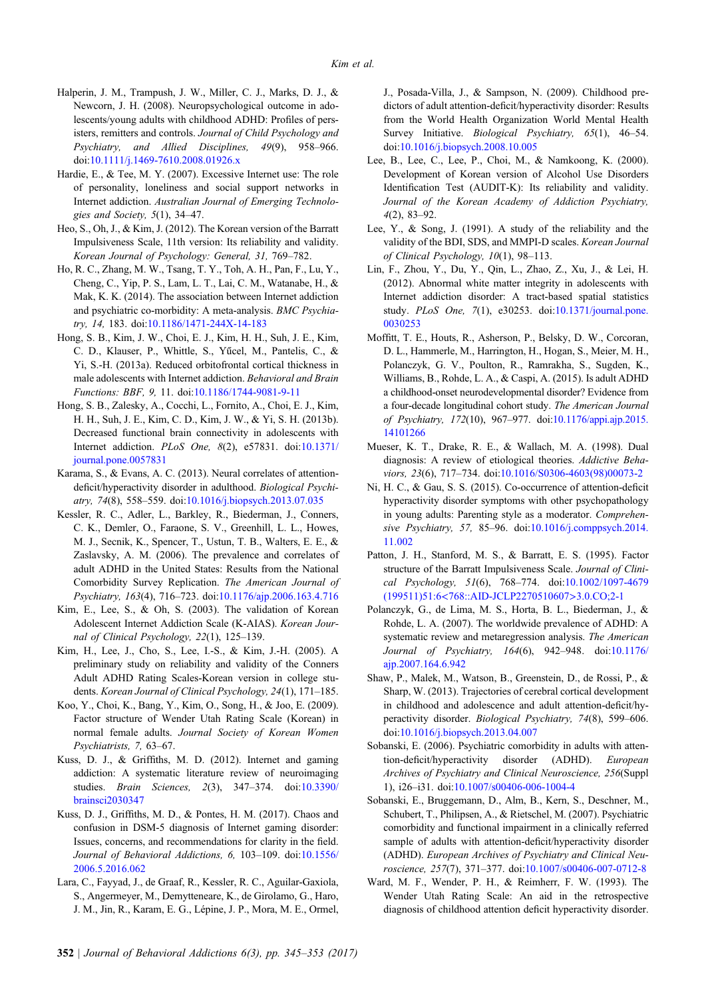- <span id="page-7-0"></span>Halperin, J. M., Trampush, J. W., Miller, C. J., Marks, D. J., & Newcorn, J. H. (2008). Neuropsychological outcome in adolescents/young adults with childhood ADHD: Profiles of persisters, remitters and controls. Journal of Child Psychology and Psychiatry, and Allied Disciplines, 49(9), 958–966. doi:[10.1111/j.1469-7610.2008.01926.x](http://dx.doi.org/10.1111/j.1469-7610.2008.01926.x)
- Hardie, E., & Tee, M. Y. (2007). Excessive Internet use: The role of personality, loneliness and social support networks in Internet addiction. Australian Journal of Emerging Technologies and Society, 5(1), 34–47.
- Heo, S., Oh, J., & Kim, J. (2012). The Korean version of the Barratt Impulsiveness Scale, 11th version: Its reliability and validity. Korean Journal of Psychology: General, 31, 769–782.
- Ho, R. C., Zhang, M. W., Tsang, T. Y., Toh, A. H., Pan, F., Lu, Y., Cheng, C., Yip, P. S., Lam, L. T., Lai, C. M., Watanabe, H., & Mak, K. K. (2014). The association between Internet addiction and psychiatric co-morbidity: A meta-analysis. BMC Psychiatry, 14, 183. doi[:10.1186/1471-244X-14-183](http://dx.doi.org/10.1186/1471-244X-14-183)
- Hong, S. B., Kim, J. W., Choi, E. J., Kim, H. H., Suh, J. E., Kim, C. D., Klauser, P., Whittle, S., Yűcel, M., Pantelis, C., & Yi, S.-H. (2013a). Reduced orbitofrontal cortical thickness in male adolescents with Internet addiction. Behavioral and Brain Functions: BBF, 9, 11. doi:[10.1186/1744-9081-9-11](http://dx.doi.org/10.1186/1744-9081-9-11)
- Hong, S. B., Zalesky, A., Cocchi, L., Fornito, A., Choi, E. J., Kim, H. H., Suh, J. E., Kim, C. D., Kim, J. W., & Yi, S. H. (2013b). Decreased functional brain connectivity in adolescents with Internet addiction. PLoS One, 8(2), e57831. doi:[10.1371/](http://dx.doi.org/10.1371/journal.pone.0057831) [journal.pone.0057831](http://dx.doi.org/10.1371/journal.pone.0057831)
- Karama, S., & Evans, A. C. (2013). Neural correlates of attentiondeficit/hyperactivity disorder in adulthood. Biological Psychiatry, 74(8), 558–559. doi[:10.1016/j.biopsych.2013.07.035](http://dx.doi.org/10.1016/j.biopsych.2013.07.035)
- Kessler, R. C., Adler, L., Barkley, R., Biederman, J., Conners, C. K., Demler, O., Faraone, S. V., Greenhill, L. L., Howes, M. J., Secnik, K., Spencer, T., Ustun, T. B., Walters, E. E., & Zaslavsky, A. M. (2006). The prevalence and correlates of adult ADHD in the United States: Results from the National Comorbidity Survey Replication. The American Journal of Psychiatry, 163(4), 716–723. doi:[10.1176/ajp.2006.163.4.716](http://dx.doi.org/10.1176/ajp.2006.163.4.716)
- Kim, E., Lee, S., & Oh, S. (2003). The validation of Korean Adolescent Internet Addiction Scale (K-AIAS). Korean Journal of Clinical Psychology, 22(1), 125–139.
- Kim, H., Lee, J., Cho, S., Lee, I.-S., & Kim, J.-H. (2005). A preliminary study on reliability and validity of the Conners Adult ADHD Rating Scales-Korean version in college students. Korean Journal of Clinical Psychology, 24(1), 171–185.
- Koo, Y., Choi, K., Bang, Y., Kim, O., Song, H., & Joo, E. (2009). Factor structure of Wender Utah Rating Scale (Korean) in normal female adults. Journal Society of Korean Women Psychiatrists, 7, 63–67.
- Kuss, D. J., & Griffiths, M. D. (2012). Internet and gaming addiction: A systematic literature review of neuroimaging studies. Brain Sciences, 2(3), 347–374. doi:[10.3390/](http://dx.doi.org/10.3390/brainsci2030347) [brainsci2030347](http://dx.doi.org/10.3390/brainsci2030347)
- Kuss, D. J., Griffiths, M. D., & Pontes, H. M. (2017). Chaos and confusion in DSM-5 diagnosis of Internet gaming disorder: Issues, concerns, and recommendations for clarity in the field. Journal of Behavioral Addictions, 6, 103–109. doi:[10.1556/](http://dx.doi.org/10.1556/2006.5.2016.062) [2006.5.2016.062](http://dx.doi.org/10.1556/2006.5.2016.062)
- Lara, C., Fayyad, J., de Graaf, R., Kessler, R. C., Aguilar-Gaxiola, S., Angermeyer, M., Demytteneare, K., de Girolamo, G., Haro, J. M., Jin, R., Karam, E. G., Lépine, J. P., Mora, M. E., Ormel,

J., Posada-Villa, J., & Sampson, N. (2009). Childhood predictors of adult attention-deficit/hyperactivity disorder: Results from the World Health Organization World Mental Health Survey Initiative. Biological Psychiatry, 65(1), 46-54. doi[:10.1016/j.biopsych.2008.10.005](http://dx.doi.org/10.1016/j.biopsych.2008.10.005)

- Lee, B., Lee, C., Lee, P., Choi, M., & Namkoong, K. (2000). Development of Korean version of Alcohol Use Disorders Identification Test (AUDIT-K): Its reliability and validity. Journal of the Korean Academy of Addiction Psychiatry, 4(2), 83–92.
- Lee, Y., & Song, J. (1991). A study of the reliability and the validity of the BDI, SDS, and MMPI-D scales. Korean Journal of Clinical Psychology, 10(1), 98–113.
- Lin, F., Zhou, Y., Du, Y., Qin, L., Zhao, Z., Xu, J., & Lei, H. (2012). Abnormal white matter integrity in adolescents with Internet addiction disorder: A tract-based spatial statistics study. PLoS One, 7(1), e30253. doi[:10.1371/journal.pone.](http://dx.doi.org/10.1371/journal.pone.0030253) [0030253](http://dx.doi.org/10.1371/journal.pone.0030253)
- Moffitt, T. E., Houts, R., Asherson, P., Belsky, D. W., Corcoran, D. L., Hammerle, M., Harrington, H., Hogan, S., Meier, M. H., Polanczyk, G. V., Poulton, R., Ramrakha, S., Sugden, K., Williams, B., Rohde, L. A., & Caspi, A. (2015). Is adult ADHD a childhood-onset neurodevelopmental disorder? Evidence from a four-decade longitudinal cohort study. The American Journal of Psychiatry, 172(10), 967–977. doi[:10.1176/appi.ajp.2015.](http://dx.doi.org/10.1176/appi.ajp.2015.14101266) [14101266](http://dx.doi.org/10.1176/appi.ajp.2015.14101266)
- Mueser, K. T., Drake, R. E., & Wallach, M. A. (1998). Dual diagnosis: A review of etiological theories. Addictive Behaviors, 23(6), 717–734. doi[:10.1016/S0306-4603\(98\)00073-2](http://dx.doi.org/10.1016/S0306-4603(98)00073-2)
- Ni, H. C., & Gau, S. S. (2015). Co-occurrence of attention-deficit hyperactivity disorder symptoms with other psychopathology in young adults: Parenting style as a moderator. Comprehensive Psychiatry, 57, 85–96. doi:[10.1016/j.comppsych.2014.](http://dx.doi.org/10.1016/j.comppsych.2014.11.002) [11.002](http://dx.doi.org/10.1016/j.comppsych.2014.11.002)
- Patton, J. H., Stanford, M. S., & Barratt, E. S. (1995). Factor structure of the Barratt Impulsiveness Scale. Journal of Clinical Psychology, 51(6), 768–774. doi:[10.1002/1097-4679](http://dx.doi.org/10.1002/1097-4679(199511)51:6%3C768::AID-JCLP2270510607%3E3.0.CO;2-1) (199511)51:6<[768::AID-JCLP2270510607](http://dx.doi.org/10.1002/1097-4679(199511)51:6%3C768::AID-JCLP2270510607%3E3.0.CO;2-1)>3.0.CO;2-1
- Polanczyk, G., de Lima, M. S., Horta, B. L., Biederman, J., & Rohde, L. A. (2007). The worldwide prevalence of ADHD: A systematic review and metaregression analysis. The American Journal of Psychiatry, 164(6), 942–948. doi[:10.1176/](http://dx.doi.org/10.1176/ajp.2007.164.6.942) [ajp.2007.164.6.942](http://dx.doi.org/10.1176/ajp.2007.164.6.942)
- Shaw, P., Malek, M., Watson, B., Greenstein, D., de Rossi, P., & Sharp, W. (2013). Trajectories of cerebral cortical development in childhood and adolescence and adult attention-deficit/hyperactivity disorder. Biological Psychiatry, 74(8), 599–606. doi[:10.1016/j.biopsych.2013.04.007](http://dx.doi.org/10.1016/j.biopsych.2013.04.007)
- Sobanski, E. (2006). Psychiatric comorbidity in adults with attention-deficit/hyperactivity disorder (ADHD). European Archives of Psychiatry and Clinical Neuroscience, 256(Suppl 1), i26–i31. doi:[10.1007/s00406-006-1004-4](http://dx.doi.org/10.1007/s00406-006-1004-4)
- Sobanski, E., Bruggemann, D., Alm, B., Kern, S., Deschner, M., Schubert, T., Philipsen, A., & Rietschel, M. (2007). Psychiatric comorbidity and functional impairment in a clinically referred sample of adults with attention-deficit/hyperactivity disorder (ADHD). European Archives of Psychiatry and Clinical Neuroscience, 257(7), 371–377. doi:[10.1007/s00406-007-0712-8](http://dx.doi.org/10.1007/s00406-007-0712-8)
- Ward, M. F., Wender, P. H., & Reimherr, F. W. (1993). The Wender Utah Rating Scale: An aid in the retrospective diagnosis of childhood attention deficit hyperactivity disorder.